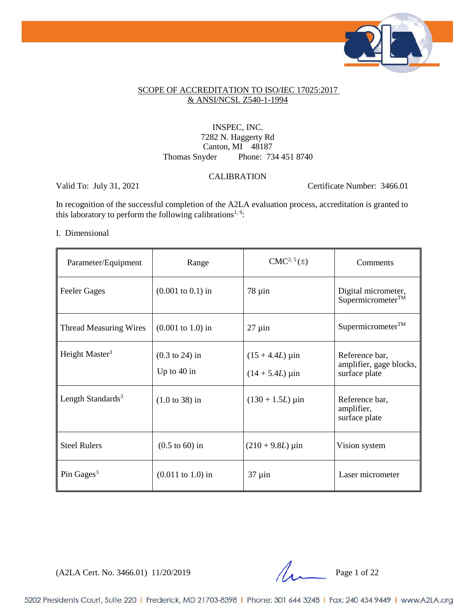

### SCOPE OF ACCREDITATION TO ISO/IEC 17025:2017 & ANSI/NCSL Z540-1-1994

### INSPEC, INC. 7282 N. Haggerty Rd Canton, MI 48187 Thomas Snyder Phone: 734 451 8740

### CALIBRATION

Valid To: July 31, 2021 Certificate Number: 3466.01

In recognition of the successful completion of the A2LA evaluation process, accreditation is granted to this laboratory to perform the following calibrations<sup>1, 9</sup>:

#### I. Dimensional

| Parameter/Equipment           | Range                                      | $CMC2, 5(\pm)$                         | Comments                                                   |
|-------------------------------|--------------------------------------------|----------------------------------------|------------------------------------------------------------|
| <b>Feeler Gages</b>           | $(0.001 \text{ to } 0.1) \text{ in}$       | $78 \mu$ in                            | Digital micrometer,<br>Supermicrometer™                    |
| <b>Thread Measuring Wires</b> | $(0.001 \text{ to } 1.0) \text{ in}$       | $27 \mu$ in                            | Supermicrometer <sup>TM</sup>                              |
| Height Master <sup>3</sup>    | $(0.3 \text{ to } 24)$ in<br>Up to $40$ in | $(15 + 4.4L)$ µin<br>$(14 + 5.4L)$ µin | Reference bar,<br>amplifier, gage blocks,<br>surface plate |
| Length Standards <sup>3</sup> | $(1.0 \text{ to } 38)$ in                  | $(130 + 1.5L)$ µin                     | Reference bar,<br>amplifier,<br>surface plate              |
| <b>Steel Rulers</b>           | $(0.5 \text{ to } 60)$ in                  | $(210 + 9.8L) \,\mu \text{in}$         | Vision system                                              |
| Pin Gages $3$                 | $(0.011 \text{ to } 1.0) \text{ in}$       | $37 \mu$ in                            | Laser micrometer                                           |

 $(A2LA$  Cert. No. 3466.01) 11/20/2019 Page 1 of 22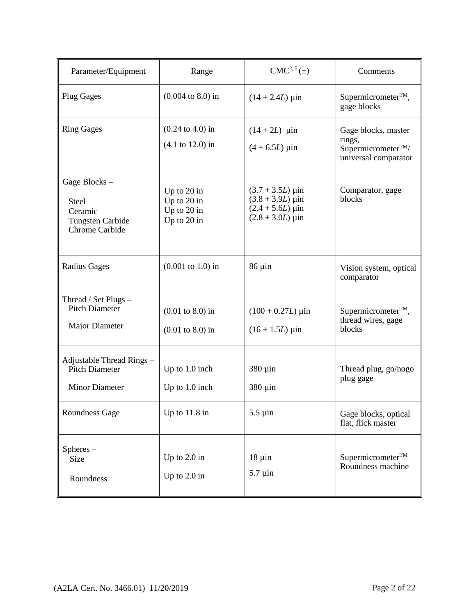| Parameter/Equipment                                                           | Range                                                                      | $CMC2, 5(\pm)$                                                                                                                       | Comments                                                                               |
|-------------------------------------------------------------------------------|----------------------------------------------------------------------------|--------------------------------------------------------------------------------------------------------------------------------------|----------------------------------------------------------------------------------------|
| <b>Plug Gages</b>                                                             | $(0.004 \text{ to } 8.0) \text{ in}$                                       | $(14 + 2.4L)$ µin                                                                                                                    | $Supermicrometer^{TM}$ ,<br>gage blocks                                                |
| <b>Ring Gages</b>                                                             | $(0.24 \text{ to } 4.0) \text{ in}$<br>$(4.1 \text{ to } 12.0)$ in         | $(14 + 2L)$ µin<br>$(4 + 6.5L)$ µin                                                                                                  | Gage blocks, master<br>rings,<br>Supermicrometer <sup>TM</sup><br>universal comparator |
| Gage Blocks-<br>Steel<br>Ceramic<br><b>Tungsten Carbide</b><br>Chrome Carbide | Up to 20 in<br>Up to 20 in<br>Up to 20 in<br>Up to 20 in                   | $(3.7 + 3.5L) \,\mu \text{in}$<br>$(3.8 + 3.9L) \,\mu \text{in}$<br>$(2.4 + 5.6L) \,\mu \text{in}$<br>$(2.8 + 3.0L) \,\mu \text{in}$ | Comparator, gage<br>blocks                                                             |
| <b>Radius Gages</b>                                                           | $(0.001 \text{ to } 1.0) \text{ in}$                                       | $86 \mu in$                                                                                                                          | Vision system, optical<br>comparator                                                   |
| Thread / Set Plugs -<br><b>Pitch Diameter</b><br><b>Major Diameter</b>        | $(0.01 \text{ to } 8.0) \text{ in}$<br>$(0.01 \text{ to } 8.0) \text{ in}$ | $(100 + 0.27L) \,\mu \text{in}$<br>$(16 + 1.5L)$ µin                                                                                 | Supermicrometer <sup>TM</sup> ,<br>thread wires, gage<br>blocks                        |
| Adjustable Thread Rings -<br>Pitch Diameter<br><b>Minor Diameter</b>          | Up to $1.0$ inch<br>Up to 1.0 inch                                         | 380 µin<br>380 µin                                                                                                                   | Thread plug, go/nogo<br>plug gage                                                      |
| Roundness Gage                                                                | Up to $11.8$ in                                                            | $5.5 \mu$ in                                                                                                                         | Gage blocks, optical<br>flat, flick master                                             |
| Spheres –<br>Size<br>Roundness                                                | Up to $2.0$ in<br>Up to $2.0$ in                                           | $18 \mu$ in<br>$5.7 \mu$ in                                                                                                          | Supermicrometer™<br>Roundness machine                                                  |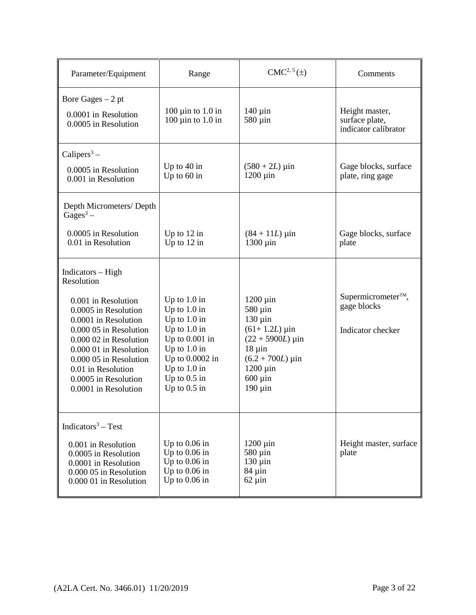| Parameter/Equipment                                                                                                                                                                                                                               | Range                                                                                                                                                                               | $CMC2, 5(\pm)$                                                                                                                                                                 | Comments                                                           |
|---------------------------------------------------------------------------------------------------------------------------------------------------------------------------------------------------------------------------------------------------|-------------------------------------------------------------------------------------------------------------------------------------------------------------------------------------|--------------------------------------------------------------------------------------------------------------------------------------------------------------------------------|--------------------------------------------------------------------|
| Bore Gages $-2$ pt<br>0.0001 in Resolution<br>0.0005 in Resolution                                                                                                                                                                                | 100 $\mu$ in to 1.0 in<br>$100 \mu$ in to $1.0 \pi$                                                                                                                                 | $140 \mu$ in<br>$580 \mu$ in                                                                                                                                                   | Height master,<br>surface plate,<br>indicator calibrator           |
| Calipers <sup>3</sup> –<br>0.0005 in Resolution<br>0.001 in Resolution                                                                                                                                                                            | Up to $40$ in<br>Up to 60 in                                                                                                                                                        | $(580 + 2L) \,\mu$ in<br>$1200 \mu$ in                                                                                                                                         | Gage blocks, surface<br>plate, ring gage                           |
| Depth Micrometers/Depth<br>$Gages3 -$                                                                                                                                                                                                             |                                                                                                                                                                                     |                                                                                                                                                                                |                                                                    |
| 0.0005 in Resolution<br>0.01 in Resolution                                                                                                                                                                                                        | Up to $12$ in<br>Up to $12$ in                                                                                                                                                      | $(84 + 11L)$ µin<br>1300 µin                                                                                                                                                   | Gage blocks, surface<br>plate                                      |
| Indicators - High<br>Resolution                                                                                                                                                                                                                   |                                                                                                                                                                                     |                                                                                                                                                                                |                                                                    |
| 0.001 in Resolution<br>0.0005 in Resolution<br>0.0001 in Resolution<br>0.000 05 in Resolution<br>0.000 02 in Resolution<br>0.000 01 in Resolution<br>0.000 05 in Resolution<br>0.01 in Resolution<br>0.0005 in Resolution<br>0.0001 in Resolution | Up to $1.0$ in<br>Up to $1.0$ in<br>Up to $1.0$ in<br>Up to $1.0$ in<br>Up to $0.001$ in<br>Up to $1.0$ in<br>Up to 0.0002 in<br>Up to $1.0$ in<br>Up to $0.5$ in<br>Up to $0.5$ in | $1200 \mu$ in<br>$580 \,\mu$ in<br>$130 \mu$ in<br>$(61+1.2L)$ µin<br>$(22 + 5900L)$ µin<br>$18 \mu in$<br>$(6.2 + 700L)$ µin<br>$1200 \mu$ in<br>$600 \mu$ in<br>$190 \mu$ in | Supermicrometer <sup>™</sup> ,<br>gage blocks<br>Indicator checker |
| Indicators <sup>3</sup> – Test<br>0.001 in Resolution<br>0.0005 in Resolution<br>0.0001 in Resolution<br>0.000 05 in Resolution<br>0.000 01 in Resolution                                                                                         | Up to $0.06$ in<br>Up to $0.06$ in<br>Up to $0.06$ in<br>Up to $0.06$ in<br>Up to $0.06$ in                                                                                         | $1200 \mu$ in<br>580 µin<br>$130 \mu$ in<br>$84 \mu$ in<br>$62 \mu$ in                                                                                                         | Height master, surface<br>plate                                    |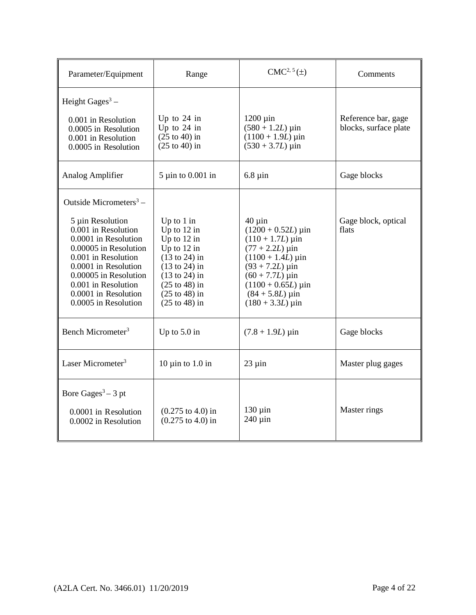| Parameter/Equipment                                                                                                                                                                                                                                                           | Range                                                                                                                                                                                                                                   | $CMC2, 5(\pm)$                                                                                                                                                                                                                                                                             | Comments                                     |
|-------------------------------------------------------------------------------------------------------------------------------------------------------------------------------------------------------------------------------------------------------------------------------|-----------------------------------------------------------------------------------------------------------------------------------------------------------------------------------------------------------------------------------------|--------------------------------------------------------------------------------------------------------------------------------------------------------------------------------------------------------------------------------------------------------------------------------------------|----------------------------------------------|
| Height Gages <sup>3</sup> –<br>0.001 in Resolution<br>0.0005 in Resolution<br>0.001 in Resolution<br>0.0005 in Resolution                                                                                                                                                     | Up to $24$ in<br>Up to $24$ in<br>$(25 \text{ to } 40)$ in<br>$(25 \text{ to } 40)$ in                                                                                                                                                  | $1200 \mu$ in<br>$(580 + 1.2L) \,\mu$ in<br>$(1100 + 1.9L)$ µin<br>$(530 + 3.7L) \,\mu \text{in}$                                                                                                                                                                                          | Reference bar, gage<br>blocks, surface plate |
| Analog Amplifier                                                                                                                                                                                                                                                              | $5 \mu$ in to 0.001 in                                                                                                                                                                                                                  | $6.8 \mu$ in                                                                                                                                                                                                                                                                               | Gage blocks                                  |
| Outside Micrometers <sup>3</sup> –<br>5 µin Resolution<br>0.001 in Resolution<br>0.0001 in Resolution<br>0.00005 in Resolution<br>0.001 in Resolution<br>0.0001 in Resolution<br>0.00005 in Resolution<br>0.001 in Resolution<br>0.0001 in Resolution<br>0.0005 in Resolution | Up to $1$ in<br>Up to $12$ in<br>Up to $12$ in<br>Up to $12$ in<br>$(13 \text{ to } 24)$ in<br>$(13 \text{ to } 24)$ in<br>$(13 \text{ to } 24)$ in<br>$(25 \text{ to } 48)$ in<br>$(25 \text{ to } 48)$ in<br>$(25 \text{ to } 48)$ in | $40 \mu$ in<br>$(1200 + 0.52L) \,\mu \text{in}$<br>$(110 + 1.7L) \,\mu \text{in}$<br>$(77 + 2.2L)$ µin<br>$(1100 + 1.4L) \,\mu \text{in}$<br>$(93 + 7.2L)$ µin<br>$(60 + 7.7L) \,\mu \text{in}$<br>$(1100 + 0.65L) \,\mu \text{in}$<br>$(84 + 5.8L) \,\mu \text{in}$<br>$(180 + 3.3L)$ µin | Gage block, optical<br>flats                 |
| Bench Micrometer <sup>3</sup>                                                                                                                                                                                                                                                 | Up to $5.0$ in                                                                                                                                                                                                                          | $(7.8 + 1.9L) \,\mu \text{in}$                                                                                                                                                                                                                                                             | Gage blocks                                  |
| Laser Micrometer <sup>3</sup>                                                                                                                                                                                                                                                 | 10 $\mu$ in to 1.0 in                                                                                                                                                                                                                   | $23 \mu$ in                                                                                                                                                                                                                                                                                | Master plug gages                            |
| Bore Gages <sup>3</sup> – 3 pt<br>0.0001 in Resolution<br>0.0002 in Resolution                                                                                                                                                                                                | $(0.275 \text{ to } 4.0) \text{ in}$<br>$(0.275 \text{ to } 4.0) \text{ in}$                                                                                                                                                            | $130 \mu$ in<br>$240 \,\mathrm{\upmu}$ in                                                                                                                                                                                                                                                  | Master rings                                 |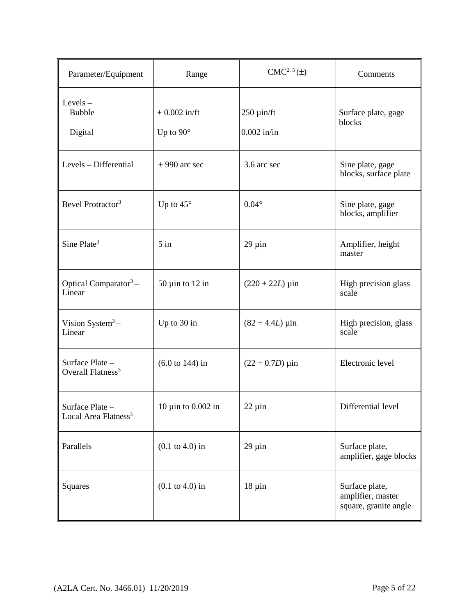| Parameter/Equipment                               | Range                                 | $CMC2, 5(\pm)$                   | Comments                                                     |
|---------------------------------------------------|---------------------------------------|----------------------------------|--------------------------------------------------------------|
| $Levels -$<br>Bubble<br>Digital                   | $\pm$ 0.002 in/ft<br>Up to $90^\circ$ | $250 \mu$ in/ft<br>$0.002$ in/in | Surface plate, gage<br>blocks                                |
| Levels - Differential                             | $\pm$ 990 arc sec                     | 3.6 arc sec                      | Sine plate, gage<br>blocks, surface plate                    |
| Bevel Protractor <sup>3</sup>                     | Up to $45^\circ$                      | $0.04^\circ$                     | Sine plate, gage<br>blocks, amplifier                        |
| Sine Plate <sup>3</sup>                           | $5$ in                                | $29 \mu$ in                      | Amplifier, height<br>master                                  |
| Optical Comparator <sup>3</sup> -<br>Linear       | $50 \mu$ in to 12 in                  | $(220 + 22L) \,\mu \text{in}$    | High precision glass<br>scale                                |
| Vision System $3-$<br>Linear                      | Up to 30 in                           | $(82 + 4.4L) \,\mu$ in           | High precision, glass<br>scale                               |
| Surface Plate -<br>Overall Flatness <sup>3</sup>  | $(6.0 \text{ to } 144)$ in            | $(22 + 0.7D) \,\mu \text{in}$    | Electronic level                                             |
| Surface Plate<br>Local Area Flatness <sup>3</sup> | 10 $\mu$ in to 0.002 in               | $22 \mu$ in                      | Differential level                                           |
| Parallels                                         | $(0.1 \text{ to } 4.0) \text{ in}$    | $29 \mu$ in                      | Surface plate,<br>amplifier, gage blocks                     |
| Squares                                           | $(0.1 \text{ to } 4.0) \text{ in}$    | $18 \mu in$                      | Surface plate,<br>amplifier, master<br>square, granite angle |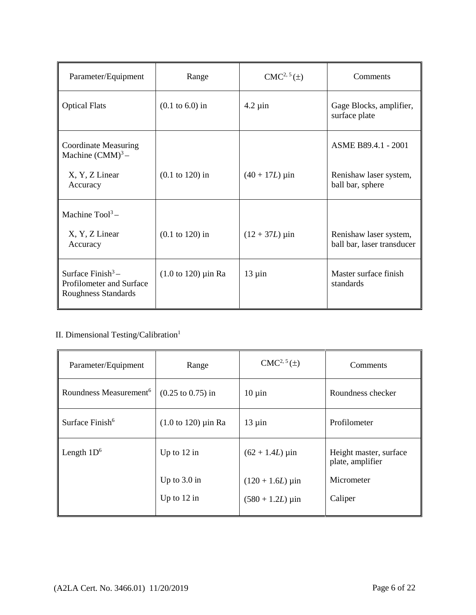| Parameter/Equipment                                                    | Range                              | $CMC2, 5(\pm)$        | Comments                                   |
|------------------------------------------------------------------------|------------------------------------|-----------------------|--------------------------------------------|
| <b>Optical Flats</b>                                                   | $(0.1 \text{ to } 6.0) \text{ in}$ | $4.2 \mu$ in          | Gage Blocks, amplifier,<br>surface plate   |
| <b>Coordinate Measuring</b><br>Machine $(CMM)^3$ –                     |                                    |                       | ASME B89.4.1 - 2001                        |
| X, Y, Z Linear<br>Accuracy                                             | $(0.1 \text{ to } 120)$ in         | $(40 + 17L) \,\mu$ in | Renishaw laser system,<br>ball bar, sphere |
| Machine $Tool3$ -<br>X, Y, Z Linear                                    | $(0.1 \text{ to } 120)$ in         | $(12 + 37L)$ µin      | Renishaw laser system,                     |
| Accuracy                                                               |                                    |                       | ball bar, laser transducer                 |
| Surface Finish $3-$<br>Profilometer and Surface<br>Roughness Standards | $(1.0 \text{ to } 120)$ µin Ra     | $13 \mu$ in           | Master surface finish<br>standards         |

# II. Dimensional Testing/Calibration $^{\rm l}$

| Parameter/Equipment                | Range                          | $CMC2, 5(\pm)$                 | Comments                                   |
|------------------------------------|--------------------------------|--------------------------------|--------------------------------------------|
| Roundness Measurement <sup>6</sup> | $(0.25 \text{ to } 0.75)$ in   | $10 \mu$ in                    | Roundness checker                          |
| Surface Finish <sup>6</sup>        | $(1.0 \text{ to } 120)$ µin Ra | $13 \mu$ in                    | Profilometer                               |
| Length $1D^6$                      | Up to $12$ in                  | $(62 + 1.4L) \,\mu$ in         | Height master, surface<br>plate, amplifier |
|                                    | Up to $3.0 \text{ in}$         | $(120 + 1.6L)$ µin             | Micrometer                                 |
|                                    | Up to $12$ in                  | $(580 + 1.2L) \,\mu \text{in}$ | Caliper                                    |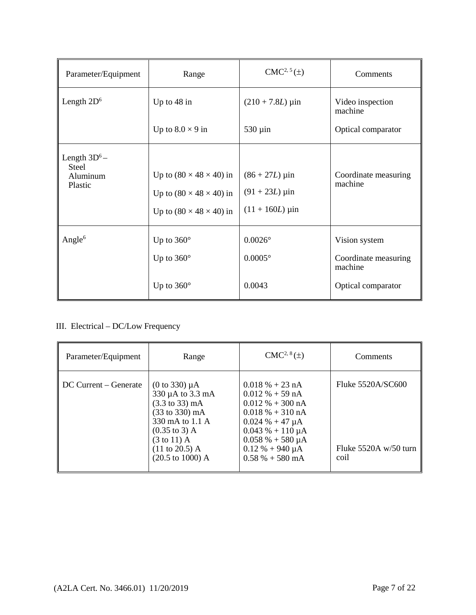| Parameter/Equipment                                    | Range                                                                                                             | $CMC2, 5(\pm)$                                                 | Comments                                         |
|--------------------------------------------------------|-------------------------------------------------------------------------------------------------------------------|----------------------------------------------------------------|--------------------------------------------------|
| Length $2D^6$                                          | Up to 48 in                                                                                                       | $(210 + 7.8L) \,\mu \text{in}$                                 | Video inspection<br>machine                      |
|                                                        | Up to $8.0 \times 9$ in                                                                                           | $530 \mu$ in                                                   | Optical comparator                               |
| Length $3D^6$ –<br><b>Steel</b><br>Aluminum<br>Plastic | Up to $(80 \times 48 \times 40)$ in<br>Up to $(80 \times 48 \times 40)$ in<br>Up to $(80 \times 48 \times 40)$ in | $(86 + 27L) \,\mu$ in<br>$(91 + 23L)$ µin<br>$(11 + 160L)$ µin | Coordinate measuring<br>machine                  |
| Angle $6$                                              | Up to $360^\circ$<br>Up to $360^\circ$                                                                            | $0.0026^{\circ}$<br>$0.0005^\circ$                             | Vision system<br>Coordinate measuring<br>machine |
|                                                        | Up to $360^\circ$                                                                                                 | 0.0043                                                         | Optical comparator                               |

# III. Electrical – DC/Low Frequency

| Parameter/Equipment   | Range                                                                                                                                                                                                                                                                 | $CMC2, 8(\pm)$                                                                                                                                                                                                                   | Comments                                             |
|-----------------------|-----------------------------------------------------------------------------------------------------------------------------------------------------------------------------------------------------------------------------------------------------------------------|----------------------------------------------------------------------------------------------------------------------------------------------------------------------------------------------------------------------------------|------------------------------------------------------|
| DC Current – Generate | $(0 to 330) \mu A$<br>330 µA to 3.3 mA<br>$(3.3 \text{ to } 33) \text{ mA}$<br>$(33 \text{ to } 330) \text{ mA}$<br>330 mA to 1.1 A<br>$(0.35 \text{ to } 3) \text{ A}$<br>$(3 \text{ to } 11)$ A<br>$(11 \text{ to } 20.5)$ A<br>$(20.5 \text{ to } 1000) \text{ A}$ | $0.018 \% + 23 nA$<br>$0.012\% + 59 \text{ nA}$<br>$0.012 \% + 300 nA$<br>$0.018 \% + 310 nA$<br>$0.024 \% + 47 \mu A$<br>$0.043 \% + 110 \mu A$<br>$0.058 \% + 580 \mu A$<br>$0.12 \% + 940 \mu A$<br>$0.58\% + 580 \text{ mA}$ | Fluke 5520A/SC600<br>Fluke $5520A w/50$ turn<br>coil |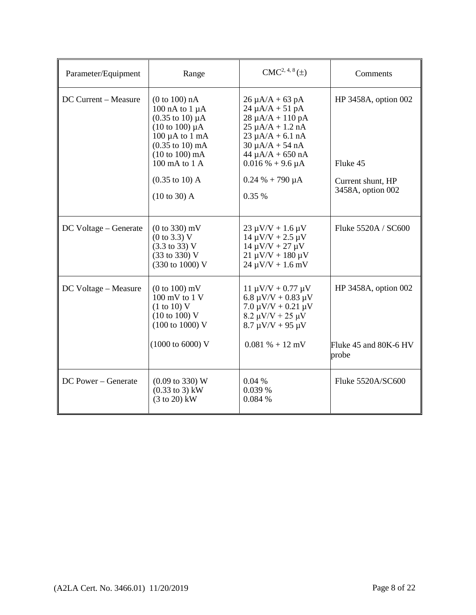| Parameter/Equipment   | Range                                                                                                                                                                                                                                                                                   | $CMC2, 4, 8(\pm)$                                                                                                                                                                                                                                 | Comments                                                                   |
|-----------------------|-----------------------------------------------------------------------------------------------------------------------------------------------------------------------------------------------------------------------------------------------------------------------------------------|---------------------------------------------------------------------------------------------------------------------------------------------------------------------------------------------------------------------------------------------------|----------------------------------------------------------------------------|
| DC Current - Measure  | (0 to 100) nA<br>100 nA to $1 \mu A$<br>$(0.35 \text{ to } 10) \mu\text{A}$<br>$(10 \text{ to } 100) \mu A$<br>$100 \mu A$ to $1 \text{ mA}$<br>$(0.35 \text{ to } 10) \text{ mA}$<br>$(10 to 100)$ mA<br>100 mA to 1 A<br>$(0.35 \text{ to } 10) \text{ A}$<br>$(10 \text{ to } 30)$ A | $26 \mu A/A + 63 pA$<br>$24 \mu A/A + 51 pA$<br>$28 \mu A/A + 110 pA$<br>$25 \mu A/A + 1.2 \text{ nA}$<br>$23 \mu A/A + 6.1 \text{ nA}$<br>$30 \mu A/A + 54 nA$<br>$44 \mu A/A + 650 nA$<br>$0.016% + 9.6 \mu A$<br>$0.24 % + 790 \mu A$<br>0.35% | HP 3458A, option 002<br>Fluke 45<br>Current shunt, HP<br>3458A, option 002 |
| DC Voltage – Generate | $(0 to 330)$ mV<br>$(0 \text{ to } 3.3) \text{ V}$<br>$(3.3 \text{ to } 33) \text{ V}$<br>(33 to 330) V<br>(330 to 1000) V                                                                                                                                                              | $23 \mu V/V + 1.6 \mu V$<br>$14 \mu V/V + 2.5 \mu V$<br>$14 \mu V/V + 27 \mu V$<br>$21 \mu V/V + 180 \mu V$<br>$24 \mu V/V + 1.6 \ mV$                                                                                                            | Fluke 5520A / SC600                                                        |
| DC Voltage - Measure  | $(0 to 100)$ mV<br>100 mV to 1 V<br>(1 to 10) V<br>$(10 \text{ to } 100) \text{ V}$<br>$(100 \text{ to } 1000) \text{ V}$<br>$(1000 \text{ to } 6000) \text{ V}$                                                                                                                        | $11 \mu V/V + 0.77 \mu V$<br>6.8 $\mu$ V/V + 0.83 $\mu$ V<br>$7.0 \mu V/V + 0.21 \mu V$<br>$8.2 \mu V/V + 25 \mu V$<br>$8.7 \mu V/V + 95 \mu V$<br>$0.081\% + 12 \text{ mV}$                                                                      | HP 3458A, option 002<br>Fluke 45 and 80K-6 HV<br>probe                     |
| DC Power – Generate   | $(0.09 \text{ to } 330) \text{ W}$<br>$(0.33 \text{ to } 3) \text{ kW}$<br>$(3 to 20)$ kW                                                                                                                                                                                               | 0.04%<br>0.039 %<br>0.084 %                                                                                                                                                                                                                       | Fluke 5520A/SC600                                                          |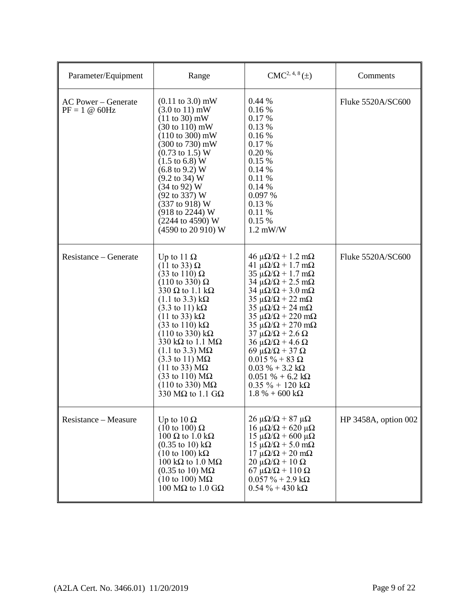| Parameter/Equipment                    | Range                                                                                                                                                                                                                                                                                                                                                                                                                                                                                                                                                                                                                                                                | $CMC2, 4, 8(\pm)$                                                                                                                                                                                                                                                                                                                                                                                                                                                                                                                                                                                                                                        | Comments             |
|----------------------------------------|----------------------------------------------------------------------------------------------------------------------------------------------------------------------------------------------------------------------------------------------------------------------------------------------------------------------------------------------------------------------------------------------------------------------------------------------------------------------------------------------------------------------------------------------------------------------------------------------------------------------------------------------------------------------|----------------------------------------------------------------------------------------------------------------------------------------------------------------------------------------------------------------------------------------------------------------------------------------------------------------------------------------------------------------------------------------------------------------------------------------------------------------------------------------------------------------------------------------------------------------------------------------------------------------------------------------------------------|----------------------|
| AC Power – Generate<br>$PF = 1 @ 60Hz$ | $(0.11 \text{ to } 3.0) \text{ mW}$<br>$(3.0 \text{ to } 11) \text{ mW}$<br>$(11 \text{ to } 30) \text{ mW}$<br>$(30 \text{ to } 110) \text{ mW}$<br>$(110 \text{ to } 300) \text{ mW}$<br>$(300 \text{ to } 730) \text{ mW}$<br>$(0.73 \text{ to } 1.5) \text{ W}$<br>$(1.5 \text{ to } 6.8) \text{ W}$<br>$(6.8 \text{ to } 9.2) \text{ W}$<br>$(9.2 \text{ to } 34) \text{ W}$<br>$(34 \text{ to } 92) \text{ W}$<br>(92 to 337) W<br>$(337 \text{ to } 918) \text{ W}$<br>$(918 \text{ to } 2244) \text{ W}$<br>(2244 to 4590) W<br>(4590 to 20 910) W                                                                                                           | 0.44%<br>0.16%<br>0.17%<br>0.13 %<br>0.16%<br>0.17 %<br>0.20%<br>0.15 %<br>0.14%<br>0.11%<br>0.14%<br>0.097 %<br>0.13 %<br>0.11 %<br>0.15 %<br>$1.2$ mW/W                                                                                                                                                                                                                                                                                                                                                                                                                                                                                                | Fluke 5520A/SC600    |
| Resistance – Generate                  | Up to 11 $\Omega$<br>$(11 \text{ to } 33) \Omega$<br>$(33 \text{ to } 110) \Omega$<br>$(110 \text{ to } 330) \Omega$<br>330 $\Omega$ to 1.1 k $\Omega$<br>$(1.1 \text{ to } 3.3) \text{ k}\Omega$<br>$(3.3 \text{ to } 11) \text{ k}\Omega$<br>$(11 \text{ to } 33) \text{ k}\Omega$<br>$(33 \text{ to } 110) \text{ k}\Omega$<br>$(110 \text{ to } 330) \text{ k}\Omega$<br>330 k $\Omega$ to 1.1 M $\Omega$<br>$(1.1 \text{ to } 3.3) \text{ M}\Omega$<br>$(3.3 \text{ to } 11) \text{ M}\Omega$<br>$(11 \text{ to } 33) \text{ M}\Omega$<br>$(33 \text{ to } 110) \text{ M}\Omega$<br>$(110 \text{ to } 330) \text{ M}\Omega$<br>330 M $\Omega$ to 1.1 G $\Omega$ | $46 \mu\Omega/\Omega + 1.2 \text{ mA}$<br>$41 \mu\Omega/\Omega + 1.7 \text{ mA}$<br>$35 \mu\Omega/\Omega + 1.7 \text{ mA}$<br>$34 \mu\Omega/\Omega$ + 2.5 m $\Omega$<br>$34 \mu\Omega/\Omega$ + 3.0 m $\Omega$<br>$35 \mu\Omega/\Omega$ + 22 m $\Omega$<br>$35 \mu\Omega/\Omega$ + 24 m $\Omega$<br>$35 \mu\Omega/\Omega$ + 220 m $\Omega$<br>$35 \mu\Omega/\Omega + 270 \text{ mA}$<br>$37 \mu\Omega/\Omega$ + 2.6 $\Omega$<br>$36 \mu\Omega/\Omega$ + 4.6 $\Omega$<br>69 μ $\Omega/\Omega$ + 37 Ω<br>$0.015 \% + 83 \Omega$<br>$0.03\% + 3.2\mathrm{k}\Omega$<br>$0.051 \% + 6.2 \text{ k}\Omega$<br>$0.35 \% + 120 k\Omega$<br>$1.8 \% + 600 k\Omega$ | Fluke 5520A/SC600    |
| Resistance – Measure                   | Up to $10 \Omega$<br>$(10 \text{ to } 100) \Omega$<br>$100 \Omega$ to $1.0 \text{ k}\Omega$<br>$(0.35 \text{ to } 10) \text{ k}\Omega$<br>$(10 \text{ to } 100) \text{ k}\Omega$<br>100 k $\Omega$ to 1.0 M $\Omega$<br>$(0.35 \text{ to } 10) \text{ M}\Omega$<br>$(10 \text{ to } 100) \text{ M}\Omega$<br>100 MΩ to 1.0 GΩ                                                                                                                                                                                                                                                                                                                                        | $26 \mu\Omega/\Omega$ + 87 $\mu\Omega$<br>$16 \mu\Omega/\Omega$ + 620 μ $\Omega$<br>15 μ $\Omega/\Omega$ + 600 μ $\Omega$<br>$15 \mu\Omega/\Omega$ + 5.0 m $\Omega$<br>$17 \mu\Omega/\Omega + 20 \mu\Omega$<br>$20 \mu\Omega/\Omega + 10 \Omega$<br>$67 \mu\Omega/\Omega + 110 \Omega$<br>$0.057 \% + 2.9 k\Omega$<br>$0.54 \% + 430 k\Omega$                                                                                                                                                                                                                                                                                                            | HP 3458A, option 002 |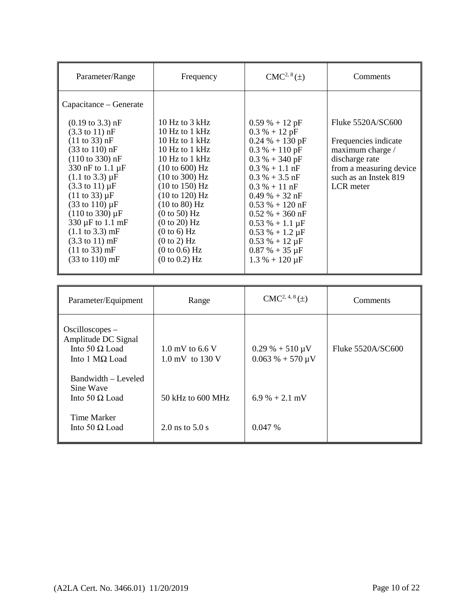| Parameter/Range                                                                                                                                                                                                                                                                                                                                                                                                                                                                         | Frequency                                                                                                                                                                                                                                                                           | $CMC2, 8(\pm)$                                                                                                                                                                                                                                                                                              | Comments                                                                                                                                         |
|-----------------------------------------------------------------------------------------------------------------------------------------------------------------------------------------------------------------------------------------------------------------------------------------------------------------------------------------------------------------------------------------------------------------------------------------------------------------------------------------|-------------------------------------------------------------------------------------------------------------------------------------------------------------------------------------------------------------------------------------------------------------------------------------|-------------------------------------------------------------------------------------------------------------------------------------------------------------------------------------------------------------------------------------------------------------------------------------------------------------|--------------------------------------------------------------------------------------------------------------------------------------------------|
| Capacitance – Generate<br>$(0.19 \text{ to } 3.3) \text{ nF}$<br>$(3.3 \text{ to } 11) \text{ nF}$<br>$(11 \text{ to } 33) \text{ nF}$<br>$(33 \text{ to } 110) \text{ nF}$<br>$(110 \text{ to } 330) \text{ nF}$<br>330 nF to 1.1 µF<br>$(1.1 \text{ to } 3.3) \mu F$<br>$(3.3 \text{ to } 11) \mu F$<br>$(11 \text{ to } 33) \mu F$<br>(33 to 110) µF<br>$(110 \text{ to } 330) \mu F$<br>330 µF to 1.1 mF<br>$(1.1 \text{ to } 3.3) \text{ mF}$<br>$(3.3 \text{ to } 11) \text{ mF}$ | 10 Hz to $3$ kHz<br>10 Hz to $1$ kHz<br>10 Hz to $1$ kHz<br>10 Hz to $1$ kHz<br>10 Hz to 1 kHz<br>$(10 \text{ to } 600) \text{ Hz}$<br>(10 to 300) Hz<br>(10 to 150) Hz<br>(10 to 120) Hz<br>$(10 \text{ to } 80)$ Hz<br>(0 to 50) Hz<br>(0 to 20) Hz<br>(0 to 6) Hz<br>(0 to 2) Hz | $0.59% + 12pF$<br>$0.3 % + 12 pF$<br>$0.24 % + 130 pF$<br>$0.3 % + 110 pF$<br>$0.3 \% + 340 pF$<br>$0.3\% + 1.1\,\text{nF}$<br>$0.3\% + 3.5$ nF<br>$0.3\% + 11$ nF<br>$0.49% + 32$ nF<br>$0.53 \% + 120$ nF<br>$0.52 \% + 360 nF$<br>$0.53\% + 1.1 \,\mu F$<br>$0.53 \% + 1.2 \mu F$<br>$0.53 % + 12 \mu F$ | Fluke 5520A/SC600<br>Frequencies indicate<br>maximum charge /<br>discharge rate<br>from a measuring device<br>such as an Instek 819<br>LCR meter |
| $(11 \text{ to } 33) \text{ mF}$<br>$(33 \text{ to } 110) \text{ mF}$                                                                                                                                                                                                                                                                                                                                                                                                                   | (0 to 0.6) Hz<br>(0 to 0.2) Hz                                                                                                                                                                                                                                                      | $0.87\% + 35 \,\mu F$<br>$1.3 % + 120 \mu F$                                                                                                                                                                                                                                                                |                                                                                                                                                  |

| Parameter/Equipment                                                                 | Range                                          | $CMC2, 4, 8(\pm)$                                             | Comments          |
|-------------------------------------------------------------------------------------|------------------------------------------------|---------------------------------------------------------------|-------------------|
| Oscilloscopes –<br>Amplitude DC Signal<br>Into 50 $\Omega$ Load<br>Into 1 $MΩ$ Load | $1.0 \text{ mV}$ to 6.6 V<br>1.0 mV to $130$ V | $0.29\% + 510 \,\mu\text{V}$<br>$0.063\% + 570 \,\mu\text{V}$ | Fluke 5520A/SC600 |
| Bandwidth - Leveled<br>Sine Wave<br>Into 50 $\Omega$ Load                           | $50$ kHz to $600$ MHz                          | $6.9\% + 2.1$ mV                                              |                   |
| Time Marker<br>Into 50 $\Omega$ Load                                                | 2.0 ns to $5.0$ s                              | 0.047%                                                        |                   |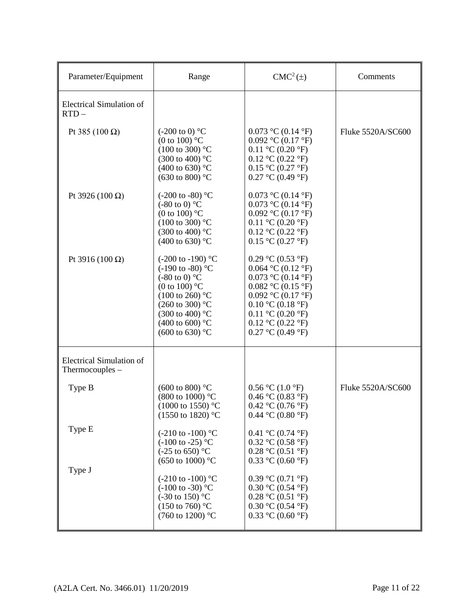| Parameter/Equipment                                | Range                                                                                                                                                                                                                                                                   | $CMC2(\pm)$                                                                                                                                                                                                                                                                     | Comments          |
|----------------------------------------------------|-------------------------------------------------------------------------------------------------------------------------------------------------------------------------------------------------------------------------------------------------------------------------|---------------------------------------------------------------------------------------------------------------------------------------------------------------------------------------------------------------------------------------------------------------------------------|-------------------|
| <b>Electrical Simulation of</b><br>$RTD -$         |                                                                                                                                                                                                                                                                         |                                                                                                                                                                                                                                                                                 |                   |
| Pt 385 (100 Ω)                                     | $(-200 \text{ to } 0)$ °C<br>(0 to 100) $^{\circ}$ C<br>$(100 \text{ to } 300)$ °C<br>$(300 \text{ to } 400)$ °C<br>(400 to 630) °C<br>(630 to 800) $^{\circ}$ C                                                                                                        | 0.073 °C (0.14 °F)<br>0.092 °C (0.17 °F)<br>$0.11 \text{ °C}$ (0.20 $\text{°F}$ )<br>$0.12$ °C (0.22 °F)<br>$0.15 \text{ °C}$ $(0.27 \text{ °F})$<br>$0.27 \text{ °C}$ (0.49 $\text{°F}$ )                                                                                      | Fluke 5520A/SC600 |
| Pt 3926 (100 Ω)                                    | $(-200 \text{ to } -80)$ °C<br>$(-80 \text{ to } 0)$ °C<br>(0 to 100) $^{\circ}$ C<br>$(100 \text{ to } 300)$ °C<br>(300 to 400) °C<br>(400 to 630) °C                                                                                                                  | 0.073 °C (0.14 °F)<br>0.073 °C (0.14 °F)<br>0.092 °C (0.17 °F)<br>$0.11 \text{ °C}$ (0.20 $\text{°F}$ )<br>$0.12$ °C (0.22 °F)<br>$0.15$ °C (0.27 °F)                                                                                                                           |                   |
| Pt 3916 (100 Ω)                                    | $(-200 \text{ to } -190)$ °C<br>$(-190 \text{ to } -80)$ °C<br>$(-80 \text{ to } 0)$ °C<br>(0 to 100) $^{\circ}$ C<br>$(100 \text{ to } 260)$ °C<br>$(260 \text{ to } 300)$ °C<br>$(300 \text{ to } 400)$ °C<br>(400 to 600) $^{\circ}$ C<br>$(600 \text{ to } 630)$ °C | 0.29 °C (0.53 °F)<br>0.064 °C (0.12 °F)<br>0.073 °C (0.14 °F)<br>$0.082$ °C (0.15 °F)<br>0.092 °C (0.17 °F)<br>$0.10 \text{ °C}$ (0.18 $\text{°F}$ )<br>$0.11 \text{ °C}$ (0.20 $\text{°F}$ )<br>$0.12 \text{ °C}$ (0.22 $\text{°F}$ )<br>$0.27 \text{ °C}$ (0.49 $\text{°F}$ ) |                   |
| <b>Electrical Simulation of</b><br>Thermocouples - |                                                                                                                                                                                                                                                                         |                                                                                                                                                                                                                                                                                 |                   |
| Type B                                             | $(600 \text{ to } 800)$ °C<br>$(800 \text{ to } 1000)$ °C<br>$(1000 \text{ to } 1550)$ °C<br>$(1550 \text{ to } 1820)$ °C                                                                                                                                               | $0.56 \text{ °C}$ (1.0 $\text{ °F}$ )<br>0.46 °C (0.83 °F)<br>0.42 °C (0.76 °F)<br>0.44 °C (0.80 °F)                                                                                                                                                                            | Fluke 5520A/SC600 |
| Type E                                             | $(-210 \text{ to } -100)$ °C<br>$(-100 \text{ to } -25)$ °C<br>$(-25 \text{ to } 650)$ °C<br>(650 to 1000) $^{\circ}$ C                                                                                                                                                 | 0.41 °C (0.74 °F)<br>$0.32 \text{ °C}$ $(0.58 \text{ °F})$<br>$0.28 \text{ °C}$ $(0.51 \text{ °F})$<br>$0.33$ °C (0.60 °F)                                                                                                                                                      |                   |
| Type J                                             | $(-210 \text{ to } -100)$ °C<br>$(-100 \text{ to } -30)$ °C<br>$(-30 \text{ to } 150)$ °C<br>$(150 \text{ to } 760)$ °C<br>(760 to 1200) °C                                                                                                                             | 0.39 °C (0.71 °F)<br>$0.30 \text{ °C}$ $(0.54 \text{ °F})$<br>$0.28 \text{ °C}$ $(0.51 \text{ °F})$<br>$0.30 \text{ °C}$ $(0.54 \text{ °F})$<br>$0.33$ °C (0.60 °F)                                                                                                             |                   |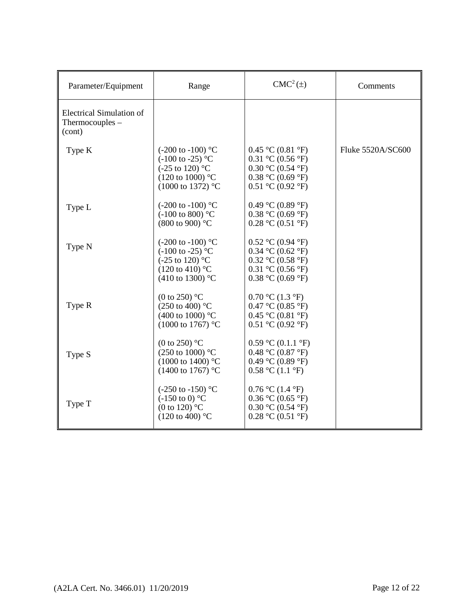| Parameter/Equipment                                            | Range                                                                                                                                                    | $CMC2(\pm)$                                                                                                                                                                                               | Comments          |
|----------------------------------------------------------------|----------------------------------------------------------------------------------------------------------------------------------------------------------|-----------------------------------------------------------------------------------------------------------------------------------------------------------------------------------------------------------|-------------------|
| <b>Electrical Simulation of</b><br>Thermocouples $-$<br>(cont) |                                                                                                                                                          |                                                                                                                                                                                                           |                   |
| Type K                                                         | $(-200 \text{ to } -100)$ °C<br>$(-100 \text{ to } -25)$ °C<br>$(-25 \text{ to } 120)$ °C<br>$(120 \text{ to } 1000)$ °C<br>$(1000 \text{ to } 1372)$ °C | $0.45 \text{ °C}$ (0.81 $\text{°F}$ )<br>$0.31 \text{ °C}$ $(0.56 \text{ °F})$<br>$0.30 \text{ °C}$ $(0.54 \text{ °F})$<br>$0.38 \text{ °C}$ (0.69 $\text{°F}$ )<br>$0.51 \text{ °C}$ (0.92 $\text{°F}$ ) | Fluke 5520A/SC600 |
| Type L                                                         | $(-200 \text{ to } -100)$ °C<br>$(-100 \text{ to } 800)$ °C<br>(800 to 900) °C                                                                           | 0.49 °C (0.89 °F)<br>$0.38 \text{ °C}$ (0.69 $\text{°F}$ )<br>0.28 °C (0.51 °F)                                                                                                                           |                   |
| Type N                                                         | $(-200 \text{ to } -100)$ °C<br>$(-100 \text{ to } -25)$ °C<br>$(-25 \text{ to } 120)$ °C<br>$(120 \text{ to } 410)$ °C<br>(410 to 1300) $^{\circ}$ C    | $0.52 \text{ °C}$ (0.94 $\text{°F}$ )<br>$0.34$ °C (0.62 °F)<br>$0.32 \text{ °C}$ $(0.58 \text{ °F})$<br>$0.31 \text{ °C}$ $(0.56 \text{ °F})$<br>0.38 °C (0.69 °F)                                       |                   |
| Type R                                                         | (0 to 250) $^{\circ}$ C<br>(250 to 400) $^{\circ}$ C<br>(400 to 1000) $^{\circ}$ C<br>$(1000 \text{ to } 1767)$ °C                                       | $0.70 \text{ °C}$ (1.3 $\text{°F}$ )<br>$0.47 \text{ °C}$ $(0.85 \text{ °F})$<br>$0.45 \text{ °C}$ $(0.81 \text{ °F})$<br>$0.51 \text{ °C}$ (0.92 $\text{°F}$ )                                           |                   |
| Type S                                                         | (0 to 250) $\mathrm{^{\circ}C}$<br>(250 to 1000) °C<br>$(1000 \text{ to } 1400)$ °C<br>$(1400 \text{ to } 1767)$ °C                                      | $0.59 \text{ °C}$ $(0.1.1 \text{ °F})$<br>0.48 °C (0.87 °F)<br>0.49 °C (0.89 °F)<br>$0.58 \text{ °C}$ (1.1 $\text{°F}$ )                                                                                  |                   |
| Type T                                                         | $(-250 \text{ to } -150)$ °C<br>$(-150 \text{ to } 0)$ °C<br>(0 to 120) $^{\circ}$ C<br>$(120 \text{ to } 400)$ °C                                       | $0.76 \text{ °C}$ (1.4 $\text{°F}$ )<br>$0.36$ °C (0.65 °F)<br>$0.30 \text{ °C}$ $(0.54 \text{ °F})$<br>$0.28 \text{ °C}$ $(0.51 \text{ °F})$                                                             |                   |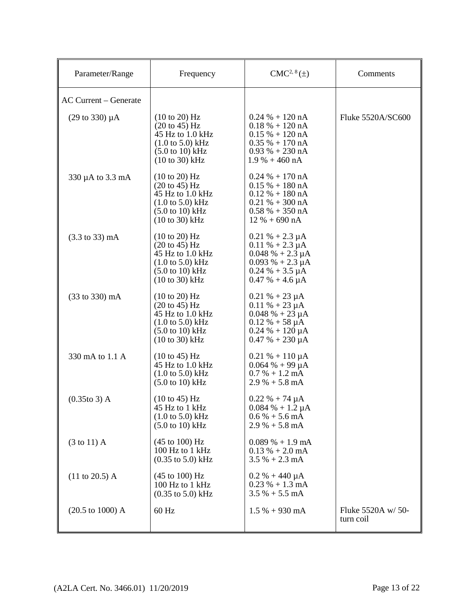| Parameter/Range                     | Frequency                                                                                                                                                                               | $CMC2, 8(\pm)$                                                                                                                                 | Comments                        |
|-------------------------------------|-----------------------------------------------------------------------------------------------------------------------------------------------------------------------------------------|------------------------------------------------------------------------------------------------------------------------------------------------|---------------------------------|
| <b>AC Current – Generate</b>        |                                                                                                                                                                                         |                                                                                                                                                |                                 |
| $(29 \text{ to } 330) \mu\text{A}$  | $(10 \text{ to } 20)$ Hz<br>$(20 \text{ to } 45)$ Hz<br>45 Hz to 1.0 kHz<br>$(1.0 \text{ to } 5.0) \text{ kHz}$<br>$(5.0 \text{ to } 10) \text{ kHz}$<br>$(10 \text{ to } 30)$ kHz      | $0.24 % + 120 nA$<br>$0.18 \% + 120 nA$<br>$0.15% + 120$ nA<br>$0.35\% + 170\,\text{nA}$<br>$0.93\% + 230\,\text{nA}$<br>$1.9 \% + 460 nA$     | Fluke 5520A/SC600               |
| 330 µA to 3.3 mA                    | $(10 \text{ to } 20)$ Hz<br>$(20 \text{ to } 45) \text{ Hz}$<br>45 Hz to 1.0 kHz<br>$(1.0 \text{ to } 5.0) \text{ kHz}$<br>$(5.0 \text{ to } 10) \text{ kHz}$<br>$(10 to 30)$ kHz       | $0.24 % + 170 nA$<br>$0.15% + 180$ nA<br>$0.12 \% + 180 nA$<br>$0.21 \% + 300 nA$<br>$0.58 \% + 350 nA$<br>$12 \% + 690 nA$                    |                                 |
| $(3.3 \text{ to } 33) \text{ mA}$   | (10 to 20) Hz<br>$(20 \text{ to } 45) \text{ Hz}$<br>45 Hz to 1.0 kHz<br>$(1.0 \text{ to } 5.0) \text{ kHz}$<br>$(5.0 \text{ to } 10) \text{ kHz}$<br>$(10 \text{ to } 30) \text{ kHz}$ | $0.21 \% + 2.3 \mu A$<br>$0.11 \% + 2.3 \mu A$<br>$0.048\% + 2.3 \mu A$<br>$0.093% + 2.3 \mu A$<br>$0.24% + 3.5 \mu A$<br>$0.47\% + 4.6 \mu A$ |                                 |
| (33 to 330) mA                      | $(10 \text{ to } 20)$ Hz<br>$(20 \text{ to } 45)$ Hz<br>45 Hz to 1.0 kHz<br>$(1.0 \text{ to } 5.0) \text{ kHz}$<br>$(5.0 \text{ to } 10) \text{ kHz}$<br>$(10 to 30)$ kHz               | $0.21 \% + 23 \mu A$<br>$0.11 \% + 23 \mu A$<br>$0.048 \% + 23 \mu A$<br>$0.12 \% + 58 \mu A$<br>$0.24 % + 120 \mu A$<br>$0.47 % + 230 \mu A$  |                                 |
| 330 mA to 1.1 A                     | $(10 \text{ to } 45)$ Hz<br>45 Hz to 1.0 kHz<br>$(1.0 \text{ to } 5.0) \text{ kHz}$<br>$(5.0 \text{ to } 10) \text{ kHz}$                                                               | $0.21 \% + 110 \mu A$<br>$0.064 \% + 99 \mu A$<br>$0.7 % + 1.2 mA$<br>$2.9 % + 5.8 mA$                                                         |                                 |
| $(0.35t)$ A                         | $(10 \text{ to } 45)$ Hz<br>45 Hz to 1 kHz<br>$(1.0 \text{ to } 5.0) \text{ kHz}$<br>$(5.0 \text{ to } 10) \text{ kHz}$                                                                 | $0.22 \% + 74 \mu A$<br>$0.084\% + 1.2 \mu A$<br>$0.6\% + 5.6\,mA$<br>$2.9\% + 5.8\text{ mA}$                                                  |                                 |
| $(3 \text{ to } 11)$ A              | (45 to 100) Hz<br>100 Hz to 1 kHz<br>$(0.35 \text{ to } 5.0) \text{ kHz}$                                                                                                               | $0.089\% + 1.9 \text{ mA}$<br>$0.13 \% + 2.0 mA$<br>$3.5% + 2.3$ mA                                                                            |                                 |
| $(11 \text{ to } 20.5)$ A           | (45 to 100) Hz<br>100 Hz to 1 kHz<br>$(0.35 \text{ to } 5.0) \text{ kHz}$                                                                                                               | $0.2 % + 440 \mu A$<br>$0.23 % + 1.3 mA$<br>$3.5% + 5.5$ mA                                                                                    |                                 |
| $(20.5 \text{ to } 1000) \text{ A}$ | 60 Hz                                                                                                                                                                                   | $1.5% + 930$ mA                                                                                                                                | Fluke 5520A w/ 50-<br>turn coil |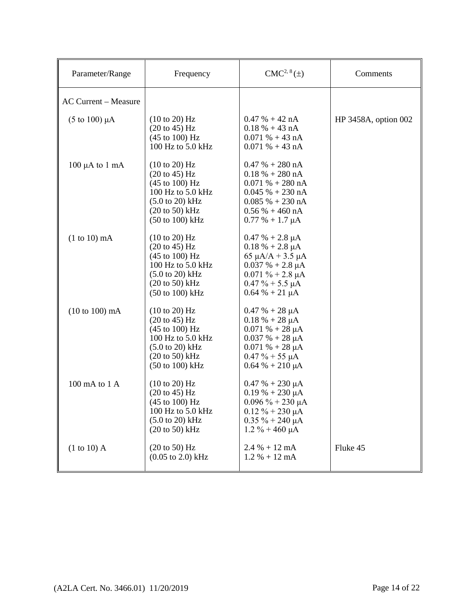| Parameter/Range               | Frequency                                                                                                                                                                                                            | $CMC2, 8(\pm)$                                                                                                                                                                   | Comments             |
|-------------------------------|----------------------------------------------------------------------------------------------------------------------------------------------------------------------------------------------------------------------|----------------------------------------------------------------------------------------------------------------------------------------------------------------------------------|----------------------|
| <b>AC Current - Measure</b>   |                                                                                                                                                                                                                      |                                                                                                                                                                                  |                      |
| $(5 \text{ to } 100) \mu A$   | $(10 \text{ to } 20)$ Hz<br>$(20 \text{ to } 45) \text{ Hz}$<br>$(45 \text{ to } 100) \text{ Hz}$<br>100 Hz to 5.0 kHz                                                                                               | $0.47% + 42 nA$<br>$0.18 \% + 43 nA$<br>$0.071% + 43nA$<br>$0.071% + 43nA$                                                                                                       | HP 3458A, option 002 |
| $100 \mu A$ to $1 \text{ mA}$ | $(10 \text{ to } 20)$ Hz<br>$(20 \text{ to } 45) \text{ Hz}$<br>$(45 \text{ to } 100) \text{ Hz}$<br>100 Hz to 5.0 kHz<br>$(5.0 \text{ to } 20) \text{ kHz}$<br>$(20 \text{ to } 50) \text{ kHz}$<br>(50 to 100) kHz | $0.47 % + 280 nA$<br>$0.18 \% + 280 nA$<br>$0.071% + 280$ nA<br>$0.045% + 230$ nA<br>$0.085\% + 230\,\text{nA}$<br>$0.56\% + 460\;nA$<br>$0.77 \% + 1.7 \mu A$                   |                      |
| $(1 to 10)$ mA                | $(10 \text{ to } 20)$ Hz<br>$(20 \text{ to } 45)$ Hz<br>$(45 \text{ to } 100) \text{ Hz}$<br>100 Hz to 5.0 kHz<br>$(5.0 \text{ to } 20) \text{ kHz}$<br>$(20 \text{ to } 50)$ kHz<br>(50 to 100) kHz                 | $0.47 % + 2.8 \mu A$<br>$0.18 \% + 2.8 \mu A$<br>65 $\mu$ A/A + 3.5 $\mu$ A<br>$0.037 \% + 2.8 \mu A$<br>$0.071 \% + 2.8 \mu A$<br>$0.47 \% + 5.5 \mu A$<br>$0.64 \% + 21 \mu A$ |                      |
| $(10 to 100)$ mA              | $(10 \text{ to } 20)$ Hz<br>$(20 \text{ to } 45) \text{ Hz}$<br>$(45 \text{ to } 100) \text{ Hz}$<br>$100$ Hz to $5.0$ kHz<br>$(5.0 \text{ to } 20) \text{ kHz}$<br>$(20 \text{ to } 50)$ kHz<br>(50 to 100) kHz     | $0.47% + 28 \mu A$<br>$0.18 % + 28 \mu A$<br>$0.071% + 28~\mu A$<br>$0.037 \% + 28 \mu A$<br>$0.071% + 28~\mu A$<br>$0.47 \% + 55 \mu A$<br>$0.64\% + 210 \mu A$                 |                      |
| 100 mA to 1 A                 | $(10 \text{ to } 20)$ Hz<br>$(20 \text{ to } 45) \text{ Hz}$<br>$(45 \text{ to } 100) \text{ Hz}$<br>100 Hz to 5.0 kHz<br>$(5.0 \text{ to } 20) \text{ kHz}$<br>$(20 \text{ to } 50)$ kHz                            | $0.47 % + 230 \mu A$<br>$0.19% + 230 \mu A$<br>$0.096 \% + 230 \mu A$<br>$0.12 \% + 230 \mu A$<br>$0.35 \% + 240 \mu A$<br>$1.2 \% + 460 \mu A$                                  |                      |
| $(1 to 10)$ A                 | $(20 \text{ to } 50)$ Hz<br>$(0.05 \text{ to } 2.0) \text{ kHz}$                                                                                                                                                     | $2.4 % + 12 mA$<br>$1.2 % + 12 mA$                                                                                                                                               | Fluke 45             |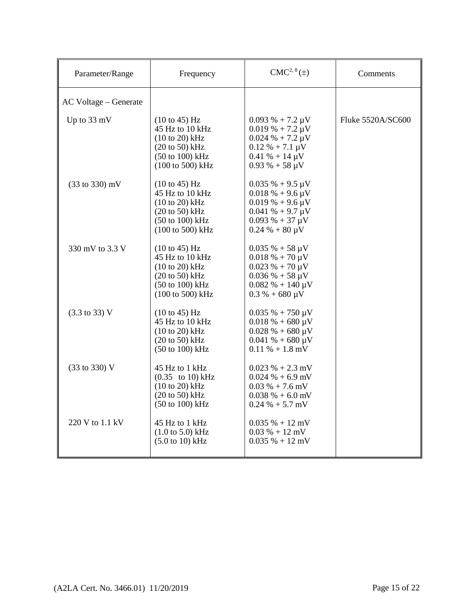| Parameter/Range                   | Frequency                                                                                                                          | $CMC2, 8(\pm)$                                                                                                                                                                | Comments          |
|-----------------------------------|------------------------------------------------------------------------------------------------------------------------------------|-------------------------------------------------------------------------------------------------------------------------------------------------------------------------------|-------------------|
| AC Voltage – Generate             |                                                                                                                                    |                                                                                                                                                                               |                   |
| Up to 33 mV                       | (10 to 45) Hz<br>45 Hz to 10 kHz<br>$(10 to 20)$ kHz<br>$(20 to 50)$ kHz<br>$(50 \text{ to } 100) \text{ kHz}$<br>(100 to 500) kHz | $0.093\% + 7.2 \mu V$<br>$0.019\% + 7.2 \mu V$<br>$0.024 % + 7.2 \mu V$<br>$0.12 \% + 7.1 \mu V$<br>$0.41 \% + 14 \mu V$<br>$0.93\% + 58 \,\mu V$                             | Fluke 5520A/SC600 |
| $(33 \text{ to } 330) \text{ mV}$ | (10 to 45) Hz<br>45 Hz to 10 kHz<br>$(10 to 20)$ kHz<br>$(20 to 50)$ kHz<br>$(50 \text{ to } 100) \text{ kHz}$<br>(100 to 500) kHz | $0.035 \% + 9.5 \mu V$<br>$0.018\% + 9.6 \,\mu\text{V}$<br>$0.019\% + 9.6 \,\mu\text{V}$<br>$0.041\% + 9.7 \mu V$<br>$0.093\% + 37 \mu V$<br>$0.24 % + 80 \mu V$              |                   |
| 330 mV to 3.3 V                   | (10 to 45) Hz<br>45 Hz to 10 kHz<br>$(10 to 20)$ kHz<br>$(20 to 50)$ kHz<br>$(50 \text{ to } 100) \text{ kHz}$<br>(100 to 500) kHz | $0.035\% + 58 \,\mu\text{V}$<br>$0.018\% + 70 \,\mu\text{V}$<br>$0.023 \% + 70 \mu V$<br>$0.036\% + 58 \,\mu\text{V}$<br>$0.082\% + 140 \,\mu\text{V}$<br>$0.3 % + 680 \mu V$ |                   |
| $(3.3 \text{ to } 33) \text{ V}$  | (10 to 45) Hz<br>45 Hz to 10 kHz<br>$(10 to 20)$ kHz<br>$(20 to 50)$ kHz<br>$(50 \text{ to } 100) \text{ kHz}$                     | $0.035\% + 750 \,\mu\text{V}$<br>$0.018 \% + 680 \mu V$<br>$0.028 \% + 680 \mu V$<br>$0.041\% + 680 \,\mu\text{V}$<br>$0.11\% + 1.8$ mV                                       |                   |
| (33 to 330) V                     | 45 Hz to 1 kHz<br>$(0.35)$ to 10) kHz<br>$(10 to 20)$ kHz<br>$(20 to 50)$ kHz<br>(50 to 100) kHz                                   | $0.023 % + 2.3 mV$<br>$0.024\% + 6.9$ mV<br>$0.03\% + 7.6$ mV<br>$0.038\% + 6.0$ mV<br>$0.24\% + 5.7$ mV                                                                      |                   |
| 220 V to 1.1 kV                   | 45 Hz to 1 kHz<br>$(1.0 \text{ to } 5.0) \text{ kHz}$<br>$(5.0 \text{ to } 10) \text{ kHz}$                                        | $0.035\% + 12\ mV$<br>$0.03 % + 12 mV$<br>$0.035\% + 12 \text{ mV}$                                                                                                           |                   |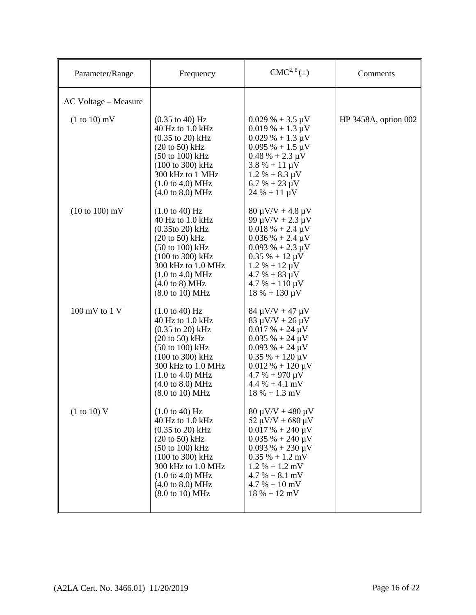| Parameter/Range                   | Frequency                                                                                                                                                                                                                                                                                                                     | $CMC2, 8(\pm)$                                                                                                                                                                                                                                               | Comments             |
|-----------------------------------|-------------------------------------------------------------------------------------------------------------------------------------------------------------------------------------------------------------------------------------------------------------------------------------------------------------------------------|--------------------------------------------------------------------------------------------------------------------------------------------------------------------------------------------------------------------------------------------------------------|----------------------|
| AC Voltage - Measure              |                                                                                                                                                                                                                                                                                                                               |                                                                                                                                                                                                                                                              |                      |
| $(1 to 10)$ mV                    | $(0.35 \text{ to } 40) \text{ Hz}$<br>40 Hz to 1.0 kHz<br>$(0.35 \text{ to } 20) \text{ kHz}$<br>(20 to 50) kHz<br>$(50 \text{ to } 100) \text{ kHz}$<br>(100 to 300) kHz<br>300 kHz to 1 MHz<br>$(1.0 \text{ to } 4.0) \text{ MHz}$<br>$(4.0 \text{ to } 8.0) \text{ MHz}$                                                   | $0.029\% + 3.5 \,\mu\text{V}$<br>$0.019\% + 1.3 \,\mu\text{V}$<br>$0.029\% + 1.3 \,\mu\text{V}$<br>$0.095\% + 1.5 \,\mu\text{V}$<br>$0.48 \% + 2.3 \mu V$<br>$3.8\% + 11 \,\mu\text{V}$<br>$1.2 % + 8.3 \mu V$<br>$6.7 % + 23 \mu V$<br>$24 \% + 11 \mu V$   | HP 3458A, option 002 |
| $(10 \text{ to } 100) \text{ mV}$ | $(1.0 \text{ to } 40) \text{ Hz}$<br>40 Hz to 1.0 kHz<br>$(0.35$ to 20) kHz<br>$(20 \text{ to } 50)$ kHz<br>$(50 \text{ to } 100) \text{ kHz}$<br>(100 to 300) kHz<br>300 kHz to 1.0 MHz<br>$(1.0 \text{ to } 4.0) \text{ MHz}$<br>$(4.0 \text{ to } 8) \text{ MHz}$<br>$(8.0 \text{ to } 10) \text{ MHz}$                    | $80 \mu V/V + 4.8 \mu V$<br>99 $\mu$ V/V + 2.3 $\mu$ V<br>$0.018 \% + 2.4 \mu V$<br>$0.036\% + 2.4 \,\mu\text{V}$<br>$0.093\% + 2.3 \mu V$<br>$0.35 \% + 12 \mu V$<br>$1.2 % + 12 \mu V$<br>$4.7 % + 83 \mu V$<br>$4.7 % + 110 \mu V$<br>$18 \% + 130 \mu V$ |                      |
| 100 mV to 1 V                     | $(1.0 \text{ to } 40) \text{ Hz}$<br>40 Hz to 1.0 kHz<br>$(0.35 \text{ to } 20) \text{ kHz}$<br>$(20 \text{ to } 50)$ kHz<br>$(50 \text{ to } 100) \text{ kHz}$<br>(100 to 300) kHz<br>300 kHz to 1.0 MHz<br>$(1.0 \text{ to } 4.0) \text{ MHz}$<br>$(4.0 \text{ to } 8.0) \text{ MHz}$<br>$(8.0 \text{ to } 10) \text{ MHz}$ | $84 \mu V/V + 47 \mu V$<br>$83 \mu V/V + 26 \mu V$<br>$0.017 \% + 24 \mu V$<br>$0.035 \% + 24 \mu V$<br>$0.093\% + 24 \mu V$<br>$0.35\% + 120 \,\mu\text{V}$<br>$0.012 \% + 120 \mu V$<br>$4.7 % + 970 \mu V$<br>$4.4\% + 4.1$ mV<br>$18\% + 1.3\ mV$        |                      |
| (1 to 10) V                       | $(1.0 \text{ to } 40) \text{ Hz}$<br>40 Hz to 1.0 kHz<br>$(0.35 \text{ to } 20) \text{ kHz}$<br>$(20 \text{ to } 50)$ kHz<br>$(50 \text{ to } 100) \text{ kHz}$<br>(100 to 300) kHz<br>300 kHz to 1.0 MHz<br>$(1.0 \text{ to } 4.0) \text{ MHz}$<br>$(4.0 \text{ to } 8.0) \text{ MHz}$<br>(8.0 to 10) MHz                    | $80 \mu V/V + 480 \mu V$<br>52 $\mu$ V/V + 680 $\mu$ V<br>$0.017 % + 240 \mu V$<br>$0.035\% + 240 \,\mu\text{V}$<br>$0.093\% + 230 \,\mu\text{V}$<br>$0.35\% + 1.2$ mV<br>$1.2 % + 1.2 mV$<br>$4.7 % + 8.1 mV$<br>$4.7 % + 10 mV$<br>$18 \% + 12 mV$         |                      |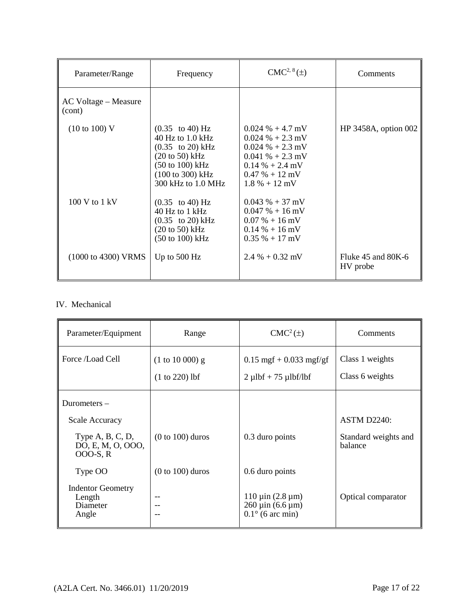| Parameter/Range                         | Frequency                                                                                                                                                                                                                                   | $CMC2, 8(\pm)$                                                                                                                                    | Comments                           |
|-----------------------------------------|---------------------------------------------------------------------------------------------------------------------------------------------------------------------------------------------------------------------------------------------|---------------------------------------------------------------------------------------------------------------------------------------------------|------------------------------------|
| AC Voltage – Measure<br>(cont)          |                                                                                                                                                                                                                                             |                                                                                                                                                   |                                    |
| $(10 \text{ to } 100)$ V                | $(0.35 \text{ to } 40) \text{ Hz}$<br>40 Hz to $1.0$ kHz<br>$(0.35 \text{ to } 20) \text{ kHz}$<br>$(20 \text{ to } 50) \text{ kHz}$<br>$(50 \text{ to } 100) \text{ kHz}$<br>$(100 \text{ to } 300) \text{ kHz}$<br>$300$ kHz to $1.0$ MHz | $0.024\% + 4.7$ mV<br>$0.024\% + 2.3$ mV<br>$0.024 % + 2.3 mV$<br>$0.041\% + 2.3$ mV<br>$0.14\% + 2.4$ mV<br>$0.47 \% + 12$ mV<br>$1.8\% + 12$ mV | $HP$ 3458A, option 002             |
| $100 V$ to $1 kV$                       | $(0.35 \text{ to } 40) \text{ Hz}$<br>$40$ Hz to 1 kHz<br>$(0.35 \text{ to } 20) \text{ kHz}$<br>$(20 \text{ to } 50)$ kHz<br>$(50 \text{ to } 100) \text{ kHz}$                                                                            | $0.043 \% + 37$ mV<br>$0.047\% + 16$ mV<br>$0.07\% + 16\,\text{mV}$<br>$0.14\% + 16 \,\mathrm{mV}$<br>$0.35\% + 17\,\text{mV}$                    |                                    |
| $(1000 \text{ to } 4300) \text{ V RMS}$ | Up to $500$ Hz                                                                                                                                                                                                                              | $2.4\% + 0.32$ mV                                                                                                                                 | Fluke $45$ and $80K-6$<br>HV probe |

## IV. Mechanical

| Parameter/Equipment                                     | Range              | $CMC2(\pm)$                                                                                            | Comments                        |
|---------------------------------------------------------|--------------------|--------------------------------------------------------------------------------------------------------|---------------------------------|
| Force /Load Cell                                        | $(1 to 10 000)$ g  | $0.15$ mgf + 0.033 mgf/gf                                                                              | Class 1 weights                 |
|                                                         | $(1 to 220)$ lbf   | $2 \mu lbf + 75 \mu lbf/lbf$                                                                           | Class 6 weights                 |
| Durometers $-$                                          |                    |                                                                                                        |                                 |
| <b>Scale Accuracy</b>                                   |                    |                                                                                                        | <b>ASTM D2240:</b>              |
| Type $A, B, C, D$ ,<br>DO, E, M, O, OOO,<br>000-S, R    | $(0 to 100)$ duros | 0.3 duro points                                                                                        | Standard weights and<br>balance |
| Type OO                                                 | $(0 to 100)$ duros | 0.6 duro points                                                                                        |                                 |
| <b>Indentor Geometry</b><br>Length<br>Diameter<br>Angle | --<br>--<br>--     | $110 \mu$ in (2.8 $\mu$ m)<br>$260 \,\mu \text{in}$ (6.6 $\mu \text{m}$ )<br>$0.1^{\circ}$ (6 arc min) | Optical comparator              |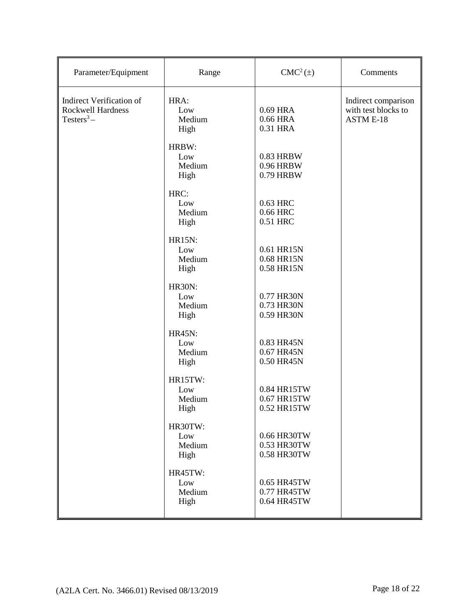| Parameter/Equipment                                                         | Range                                  | $CMC2(\pm)$                               | Comments                                                       |
|-----------------------------------------------------------------------------|----------------------------------------|-------------------------------------------|----------------------------------------------------------------|
| <b>Indirect Verification of</b><br><b>Rockwell Hardness</b><br>$Testers3 -$ | HRA:<br>Low<br>Medium<br>High          | 0.69 HRA<br>0.66 HRA<br>0.31 HRA          | Indirect comparison<br>with test blocks to<br><b>ASTM E-18</b> |
|                                                                             | HRBW:<br>Low<br>Medium<br>High         | 0.83 HRBW<br>0.96 HRBW<br>0.79 HRBW       |                                                                |
|                                                                             | HRC:<br>Low<br>Medium<br>High          | 0.63 HRC<br>0.66 HRC<br>0.51 HRC          |                                                                |
|                                                                             | <b>HR15N:</b><br>Low<br>Medium<br>High | 0.61 HR15N<br>0.68 HR15N<br>0.58 HR15N    |                                                                |
|                                                                             | <b>HR30N:</b><br>Low<br>Medium<br>High | 0.77 HR30N<br>0.73 HR30N<br>0.59 HR30N    |                                                                |
|                                                                             | <b>HR45N:</b><br>Low<br>Medium<br>High | 0.83 HR45N<br>0.67 HR45N<br>0.50 HR45N    |                                                                |
|                                                                             | HR15TW:<br>Low<br>Medium<br>High       | 0.84 HR15TW<br>0.67 HR15TW<br>0.52 HR15TW |                                                                |
|                                                                             | HR30TW:<br>Low<br>Medium<br>High       | 0.66 HR30TW<br>0.53 HR30TW<br>0.58 HR30TW |                                                                |
|                                                                             | HR45TW:<br>Low<br>Medium<br>High       | 0.65 HR45TW<br>0.77 HR45TW<br>0.64 HR45TW |                                                                |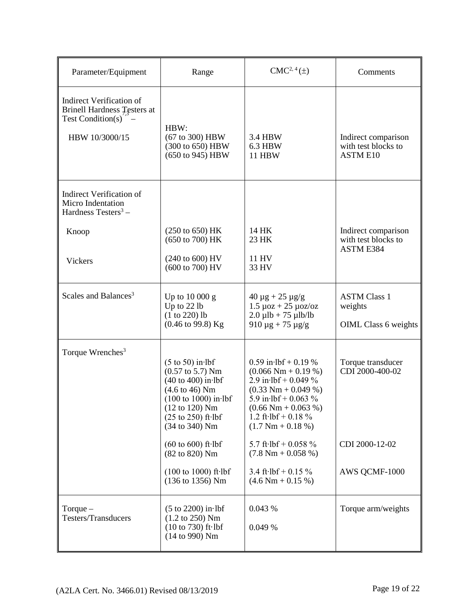| Parameter/Equipment                                                                                          | Range                                                                                                                                                                                                                                                                                                                                                       | $CMC2, 4(\pm)$                                                                                                                                                                                                                                                                                                                                                            | Comments                                                                |
|--------------------------------------------------------------------------------------------------------------|-------------------------------------------------------------------------------------------------------------------------------------------------------------------------------------------------------------------------------------------------------------------------------------------------------------------------------------------------------------|---------------------------------------------------------------------------------------------------------------------------------------------------------------------------------------------------------------------------------------------------------------------------------------------------------------------------------------------------------------------------|-------------------------------------------------------------------------|
| <b>Indirect Verification of</b><br><b>Brinell Hardness Testers at</b><br>Test Condition(s)<br>HBW 10/3000/15 | HBW:<br>(67 to 300) HBW<br>(300 to 650) HBW<br>(650 to 945) HBW                                                                                                                                                                                                                                                                                             | 3.4 HBW<br>6.3 HBW<br><b>11 HBW</b>                                                                                                                                                                                                                                                                                                                                       | Indirect comparison<br>with test blocks to<br><b>ASTM E10</b>           |
| <b>Indirect Verification of</b><br>Micro Indentation<br>Hardness Testers <sup>3</sup> –                      |                                                                                                                                                                                                                                                                                                                                                             |                                                                                                                                                                                                                                                                                                                                                                           |                                                                         |
| Knoop                                                                                                        | (250 to 650) HK<br>(650 to 700) HK                                                                                                                                                                                                                                                                                                                          | 14 HK<br>23 HK                                                                                                                                                                                                                                                                                                                                                            | Indirect comparison<br>with test blocks to<br>ASTM E384                 |
| Vickers                                                                                                      | (240 to 600) HV<br>(600 to 700) HV                                                                                                                                                                                                                                                                                                                          | 11 HV<br>33 HV                                                                                                                                                                                                                                                                                                                                                            |                                                                         |
| Scales and Balances <sup>3</sup>                                                                             | Up to 10 000 g<br>Up to 22 lb<br>$(1 to 220)$ lb<br>$(0.46 \text{ to } 99.8)$ Kg                                                                                                                                                                                                                                                                            | $40 \mu g + 25 \mu g/g$<br>$1.5 \mu$ oz + 25 $\mu$ oz/oz<br>$2.0 \mu lb + 75 \mu lb/lb$<br>$910 \mu g + 75 \mu g/g$                                                                                                                                                                                                                                                       | <b>ASTM Class 1</b><br>weights<br><b>OIML</b> Class 6 weights           |
| Torque Wrenches <sup>3</sup>                                                                                 | $(5 \text{ to } 50)$ in lbf<br>$(0.57 \text{ to } 5.7)$ Nm<br>$(40 \text{ to } 400)$ in lbf<br>$(4.6 \text{ to } 46)$ Nm<br>$(100 to 1000)$ in lbf<br>$(12 \text{ to } 120)$ Nm<br>$(25 \text{ to } 250)$ ft $\cdot$ lbf<br>(34 to 340) Nm<br>$(60 \text{ to } 600)$ ft $\cdot$ lbf<br>(82 to 820) Nm<br>$(100 to 1000)$ ft $\cdot$ lbf<br>(136 to 1356) Nm | $0.59$ in $1bf + 0.19$ %<br>$(0.066 \text{ Nm} + 0.19 \%)$<br>2.9 in $1bf + 0.049$ %<br>$(0.33 \text{ Nm} + 0.049 \text{ %})$<br>5.9 in $1bf + 0.063$ %<br>$(0.66 \text{ Nm} + 0.063 \%)$<br>1.2 ft $\cdot$ lbf + 0.18 %<br>$(1.7 Nm + 0.18 %)$<br>5.7 ft·lbf + 0.058 $%$<br>$(7.8 \text{ Nm} + 0.058 \%)$<br>3.4 ft $\cdot$ lbf + 0.15 %<br>$(4.6 \text{ Nm} + 0.15 \%)$ | Torque transducer<br>CDI 2000-400-02<br>CDI 2000-12-02<br>AWS QCMF-1000 |
| Torque $-$<br>Testers/Transducers                                                                            | $(5$ to $2200)$ in lbf<br>$(1.2 \text{ to } 250)$ Nm<br>$(10 to 730)$ ft $\cdot$ lbf<br>(14 to 990) Nm                                                                                                                                                                                                                                                      | 0.043 %<br>0.049 %                                                                                                                                                                                                                                                                                                                                                        | Torque arm/weights                                                      |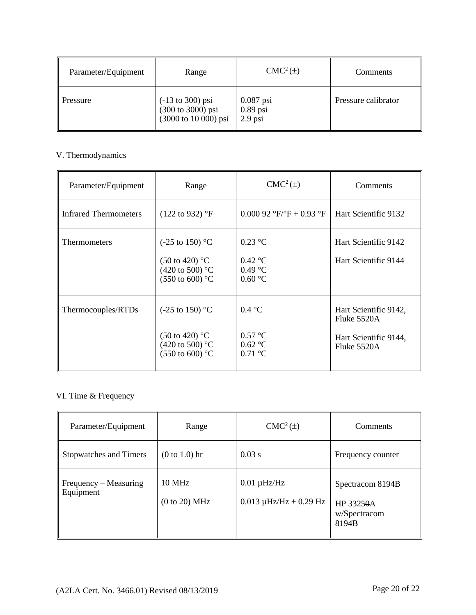| Parameter/Equipment | Range                                                         | $CMC2(\pm)$                            | Comments            |
|---------------------|---------------------------------------------------------------|----------------------------------------|---------------------|
| Pressure            | (-13 to 300) psi<br>(300 to 3000) psi<br>(3000 to 10 000) psi | $0.087$ psi<br>$0.89$ psi<br>$2.9$ psi | Pressure calibrator |

# V. Thermodynamics

| Parameter/Equipment          | Range                                                                                                              | $CMC2(\pm)$                                                                    | Comments                                                                         |
|------------------------------|--------------------------------------------------------------------------------------------------------------------|--------------------------------------------------------------------------------|----------------------------------------------------------------------------------|
| <b>Infrared Thermometers</b> | $(122 \text{ to } 932)$ °F                                                                                         | 0.000 92 $\mathrm{F}/\mathrm{F} + 0.93$ $\mathrm{F}$                           | Hart Scientific 9132                                                             |
| Thermometers                 | $(-25 \text{ to } 150)$ °C<br>$(50 \text{ to } 420)$ °C<br>(420 to 500) $^{\circ}$ C<br>$(550 \text{ to } 600)$ °C | $0.23$ °C<br>$0.42$ °C<br>$0.49$ °C<br>0.60 °C                                 | Hart Scientific 9142<br>Hart Scientific 9144                                     |
| Thermocouples/RTDs           | $(-25 \text{ to } 150)$ °C<br>$(50 \text{ to } 420)$ °C<br>(420 to 500) $^{\circ}$ C<br>$(550 \text{ to } 600)$ °C | $0.4 \text{ }^{\circ}C$<br>$0.57$ °C<br>$0.62 \text{ °C}$<br>$0.71 \text{ °C}$ | Hart Scientific 9142,<br>Fluke $5520A$<br>Hart Scientific 9144,<br>Fluke $5520A$ |

# VI. Time & Frequency

| Parameter/Equipment                | Range                          | $CMC2(\pm)$                                     | Comments                                               |
|------------------------------------|--------------------------------|-------------------------------------------------|--------------------------------------------------------|
| Stopwatches and Timers             | $(0 to 1.0)$ hr                | 0.03 s                                          | Frequency counter                                      |
| Frequency – Measuring<br>Equipment | <b>10 MHz</b><br>(0 to 20) MHz | $0.01 \mu$ Hz/Hz<br>$0.013 \mu$ Hz/Hz + 0.29 Hz | Spectracom 8194B<br>HP 33250A<br>w/Spectracom<br>8194B |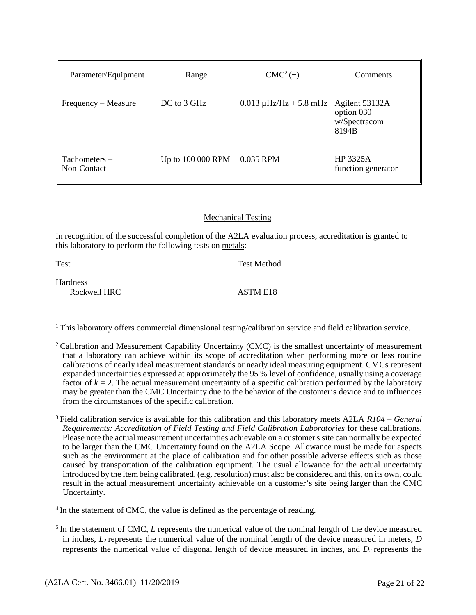| Parameter/Equipment          | Range             | $CMC2(\pm)$                 | Comments                                              |
|------------------------------|-------------------|-----------------------------|-------------------------------------------------------|
| Frequency – Measure          | DC to 3 GHz       | $0.013 \mu$ Hz/Hz + 5.8 mHz | Agilent 53132A<br>option 030<br>w/Spectracom<br>8194B |
| Tachometers –<br>Non-Contact | Up to 100 000 RPM | 0.035 RPM                   | HP 3325A<br>function generator                        |

#### Mechanical Testing

In recognition of the successful completion of the A2LA evaluation process, accreditation is granted to this laboratory to perform the following tests on metals:

Test Test Method **Hardness** Rockwell HRC ASTM E18

3 Field calibration service is available for this calibration and this laboratory meets A2LA *R104 – General Requirements: Accreditation of Field Testing and Field Calibration Laboratories* for these calibrations. Please note the actual measurement uncertainties achievable on a customer's site can normally be expected to be larger than the CMC Uncertainty found on the A2LA Scope. Allowance must be made for aspects such as the environment at the place of calibration and for other possible adverse effects such as those caused by transportation of the calibration equipment. The usual allowance for the actual uncertainty introduced by the itembeing calibrated, (e.g. resolution) must also be considered and this, on its own, could result in the actual measurement uncertainty achievable on a customer's site being larger than the CMC Uncertainty.

<sup>4</sup> In the statement of CMC, the value is defined as the percentage of reading.

<sup>&</sup>lt;sup>1</sup> This laboratory offers commercial dimensional testing/calibration service and field calibration service.

<sup>&</sup>lt;sup>2</sup> Calibration and Measurement Capability Uncertainty (CMC) is the smallest uncertainty of measurement that a laboratory can achieve within its scope of accreditation when performing more or less routine calibrations of nearly ideal measurement standards or nearly ideal measuring equipment. CMCs represent expanded uncertainties expressed at approximately the 95 % level of confidence, usually using a coverage factor of  $k = 2$ . The actual measurement uncertainty of a specific calibration performed by the laboratory may be greater than the CMC Uncertainty due to the behavior of the customer's device and to influences from the circumstances of the specific calibration.

<sup>&</sup>lt;sup>5</sup> In the statement of CMC, *L* represents the numerical value of the nominal length of the device measured in inches, *L*2 represents the numerical value of the nominal length of the device measured in meters, *D* represents the numerical value of diagonal length of device measured in inches, and  $D<sub>2</sub>$  represents the